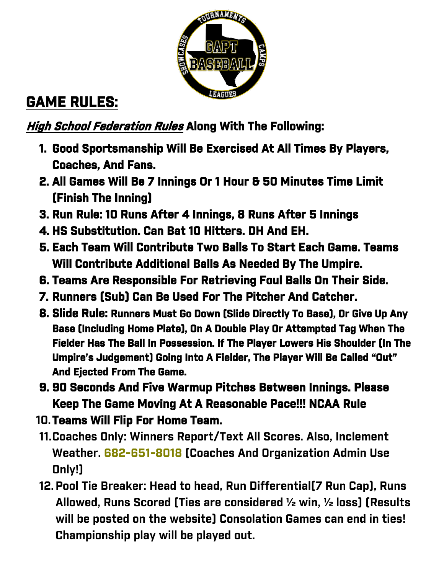

## **GAME RULES:**

### **High School Federation Rules Along With The Following:**

- **1. Good Sportsmanship Will Be Exercised At All Times By Players, Coaches, And Fans.**
- **2. All Games Will Be 7 Innings Or 1 Hour & 50 Minutes Time Limit (Finish The Inning)**
- **3. Run Rule: 10 Runs After 4 Innings, 8 Runs After 5 Innings**
- **4. HS Substitution. Can Bat 10 Hitters. DH And EH.**
- **5. Each Team Will Contribute Two Balls To Start Each Game. Teams Will Contribute Additional Balls As Needed By The Umpire.**
- **6. Teams Are Responsible For Retrieving Foul Balls On Their Side.**
- **7. Runners (Sub) Can Be Used For The Pitcher And Catcher.**
- **8. Slide Rule: Runners Must Go Down (Slide Directly To Base), Or Give Up Any Base (Including Home Plate), On A Double Play Or Attempted Tag When The Fielder Has The Ball In Possession. If The Player Lowers His Shoulder (In The Umpire's Judgement) Going Into A Fielder, The Player Will Be Called "Out" And Ejected From The Game.**
- **9. 90 Seconds And Five Warmup Pitches Between Innings. Please Keep The Game Moving At A Reasonable Pace!!! NCAA Rule**
- **10.Teams Will Flip For Home Team.**
- **11.Coaches Only: Winners Report/Text All Scores. Also, Inclement Weather. 682-651-8018 (Coaches And Organization Admin Use Only!)**
- **12.Pool Tie Breaker: Head to head, Run Differential(7 Run Cap), Runs Allowed, Runs Scored (Ties are considered ½ win, ½ loss) (Results will be posted on the website) Consolation Games can end in ties! Championship play will be played out.**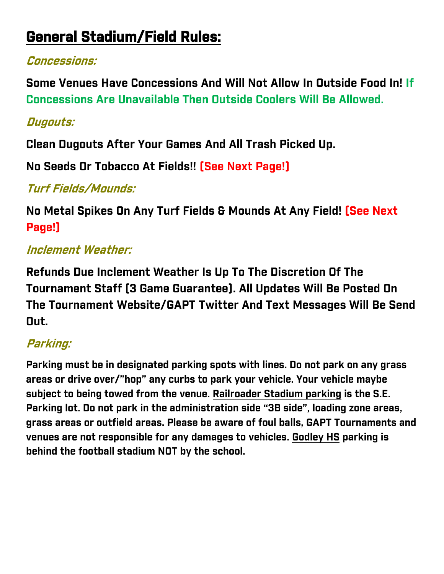# **General Stadium/Field Rules:**

#### **Concessions:**

**Some Venues Have Concessions And Will Not Allow In Outside Food In! If Concessions Are Unavailable Then Outside Coolers Will Be Allowed.**

#### **Dugouts:**

**Clean Dugouts After Your Games And All Trash Picked Up.** 

**No Seeds Or Tobacco At Fields!! (See Next Page!)**

#### **Turf Fields/Mounds:**

**No Metal Spikes On Any Turf Fields & Mounds At Any Field! (See Next Page!)**

### **Inclement Weather:**

**Refunds Due Inclement Weather Is Up To The Discretion Of The Tournament Staff (3 Game Guarantee). All Updates Will Be Posted On The Tournament Website/GAPT Twitter And Text Messages Will Be Send Out.**

## **Parking:**

**Parking must be in designated parking spots with lines. Do not park on any grass areas or drive over/"hop" any curbs to park your vehicle. Your vehicle maybe subject to being towed from the venue. Railroader Stadium parking is the S.E. Parking lot. Do not park in the administration side "3B side", loading zone areas, grass areas or outfield areas. Please be aware of foul balls, GAPT Tournaments and venues are not responsible for any damages to vehicles. Godley HS parking is behind the football stadium NOT by the school.**